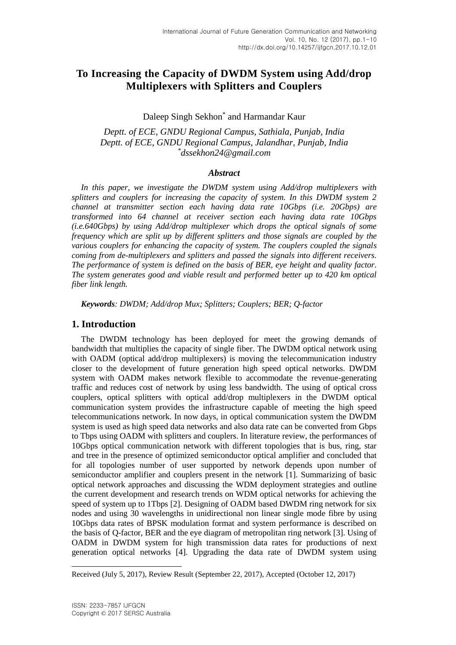# **To Increasing the Capacity of DWDM System using Add/drop Multiplexers with Splitters and Couplers**

# Daleep Singh Sekhon\* and Harmandar Kaur

*Deptt. of ECE, GNDU Regional Campus, Sathiala, Punjab, India Deptt. of ECE, GNDU Regional Campus, Jalandhar, Punjab, India \* dssekhon24@gmail.com*

#### *Abstract*

*In this paper, we investigate the DWDM system using Add/drop multiplexers with splitters and couplers for increasing the capacity of system. In this DWDM system 2 channel at transmitter section each having data rate 10Gbps (i.e. 20Gbps) are transformed into 64 channel at receiver section each having data rate 10Gbps (i.e.640Gbps) by using Add/drop multiplexer which drops the optical signals of some frequency which are split up by different splitters and those signals are coupled by the various couplers for enhancing the capacity of system. The couplers coupled the signals coming from de-multiplexers and splitters and passed the signals into different receivers. The performance of system is defined on the basis of BER, eye height and quality factor. The system generates good and viable result and performed better up to 420 km optical fiber link length.*

*Keywords: DWDM; Add/drop Mux; Splitters; Couplers; BER; Q-factor*

### **1. Introduction**

The DWDM technology has been deployed for meet the growing demands of bandwidth that multiplies the capacity of single fiber. The DWDM optical network using with OADM (optical add/drop multiplexers) is moving the telecommunication industry closer to the development of future generation high speed optical networks. DWDM system with OADM makes network flexible to accommodate the revenue-generating traffic and reduces cost of network by using less bandwidth. The using of optical cross couplers, optical splitters with optical add/drop multiplexers in the DWDM optical communication system provides the infrastructure capable of meeting the high speed telecommunications network. In now days, in optical communication system the DWDM system is used as high speed data networks and also data rate can be converted from Gbps to Tbps using OADM with splitters and couplers. In literature review, the performances of 10Gbps optical communication network with different topologies that is bus, ring, star and tree in the presence of optimized semiconductor optical amplifier and concluded that for all topologies number of user supported by network depends upon number of semiconductor amplifier and couplers present in the network [1]. Summarizing of basic optical network approaches and discussing the WDM deployment strategies and outline the current development and research trends on WDM optical networks for achieving the speed of system up to 1Tbps [2]. Designing of OADM based DWDM ring network for six nodes and using 30 wavelengths in unidirectional non linear single mode fibre by using 10Gbps data rates of BPSK modulation format and system performance is described on the basis of Q-factor, BER and the eye diagram of metropolitan ring network [3]. Using of OADM in DWDM system for high transmission data rates for productions of next generation optical networks [4]. Upgrading the data rate of DWDM system using

l

Received (July 5, 2017), Review Result (September 22, 2017), Accepted (October 12, 2017)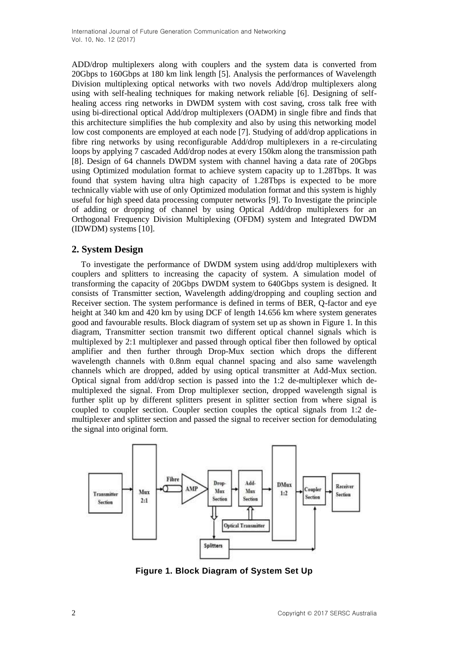ADD/drop multiplexers along with couplers and the system data is converted from 20Gbps to 160Gbps at 180 km link length [5]. Analysis the performances of Wavelength Division multiplexing optical networks with two novels Add/drop multiplexers along using with self-healing techniques for making network reliable [6]. Designing of selfhealing access ring networks in DWDM system with cost saving, cross talk free with using bi-directional optical Add/drop multiplexers (OADM) in single fibre and finds that this architecture simplifies the hub complexity and also by using this networking model low cost components are employed at each node [7]. Studying of add/drop applications in fibre ring networks by using reconfigurable Add/drop multiplexers in a re-circulating loops by applying 7 cascaded Add/drop nodes at every 150km along the transmission path [8]. Design of 64 channels DWDM system with channel having a data rate of 20Gbps using Optimized modulation format to achieve system capacity up to 1.28Tbps. It was found that system having ultra high capacity of 1.28Tbps is expected to be more technically viable with use of only Optimized modulation format and this system is highly useful for high speed data processing computer networks [9]. To Investigate the principle of adding or dropping of channel by using Optical Add/drop multiplexers for an Orthogonal Frequency Division Multiplexing (OFDM) system and Integrated DWDM (IDWDM) systems [10].

# **2. System Design**

To investigate the performance of DWDM system using add/drop multiplexers with couplers and splitters to increasing the capacity of system. A simulation model of transforming the capacity of 20Gbps DWDM system to 640Gbps system is designed. It consists of Transmitter section, Wavelength adding/dropping and coupling section and Receiver section. The system performance is defined in terms of BER, Q-factor and eye height at 340 km and 420 km by using DCF of length 14.656 km where system generates good and favourable results. Block diagram of system set up as shown in Figure 1. In this diagram, Transmitter section transmit two different optical channel signals which is multiplexed by 2:1 multiplexer and passed through optical fiber then followed by optical amplifier and then further through Drop-Mux section which drops the different wavelength channels with 0.8nm equal channel spacing and also same wavelength channels which are dropped, added by using optical transmitter at Add-Mux section. Optical signal from add/drop section is passed into the 1:2 de-multiplexer which demultiplexed the signal. From Drop multiplexer section, dropped wavelength signal is further split up by different splitters present in splitter section from where signal is coupled to coupler section. Coupler section couples the optical signals from 1:2 demultiplexer and splitter section and passed the signal to receiver section for demodulating the signal into original form.



**Figure 1. Block Diagram of System Set Up**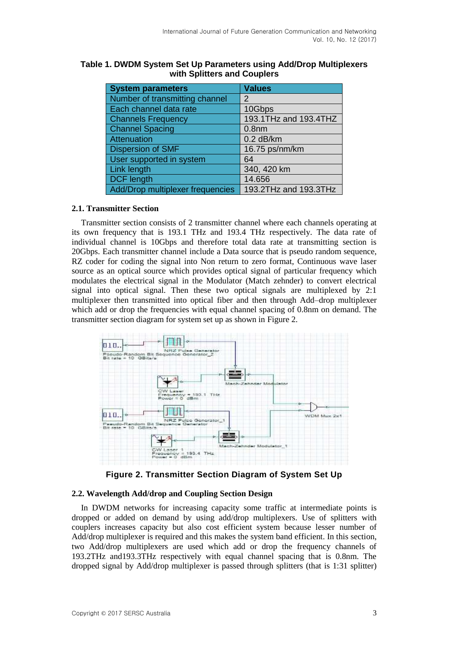| <b>System parameters</b>         | <b>Values</b>         |
|----------------------------------|-----------------------|
| Number of transmitting channel   | 2                     |
| Each channel data rate           | 10Gbps                |
| <b>Channels Frequency</b>        | 193.1THz and 193.4THZ |
| <b>Channel Spacing</b>           | 0.8 <sub>nm</sub>     |
| Attenuation                      | $0.2$ dB/km           |
| <b>Dispersion of SMF</b>         | 16.75 ps/nm/km        |
| User supported in system         | 64                    |
| Link length                      | 340, 420 km           |
| <b>DCF</b> length                | 14.656                |
| Add/Drop multiplexer frequencies | 193.2THz and 193.3THz |

### **Table 1. DWDM System Set Up Parameters using Add/Drop Multiplexers with Splitters and Couplers**

#### **2.1. Transmitter Section**

Transmitter section consists of 2 transmitter channel where each channels operating at its own frequency that is 193.1 THz and 193.4 THz respectively. The data rate of individual channel is 10Gbps and therefore total data rate at transmitting section is 20Gbps. Each transmitter channel include a Data source that is pseudo random sequence, RZ coder for coding the signal into Non return to zero format, Continuous wave laser source as an optical source which provides optical signal of particular frequency which modulates the electrical signal in the Modulator (Match zehnder) to convert electrical signal into optical signal. Then these two optical signals are multiplexed by 2:1 multiplexer then transmitted into optical fiber and then through Add–drop multiplexer which add or drop the frequencies with equal channel spacing of 0.8nm on demand. The transmitter section diagram for system set up as shown in Figure 2.



**Figure 2. Transmitter Section Diagram of System Set Up**

#### **2.2. Wavelength Add/drop and Coupling Section Design**

In DWDM networks for increasing capacity some traffic at intermediate points is dropped or added on demand by using add/drop multiplexers. Use of splitters with couplers increases capacity but also cost efficient system because lesser number of Add/drop multiplexer is required and this makes the system band efficient. In this section, two Add/drop multiplexers are used which add or drop the frequency channels of 193.2THz and193.3THz respectively with equal channel spacing that is 0.8nm. The dropped signal by Add/drop multiplexer is passed through splitters (that is 1:31 splitter)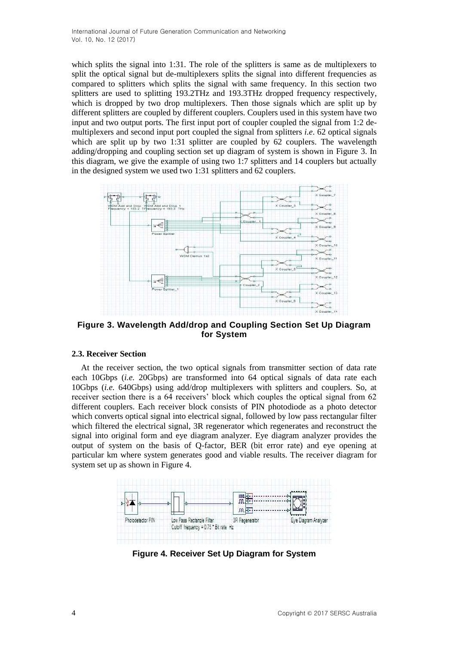which splits the signal into 1:31. The role of the splitters is same as de multiplexers to split the optical signal but de-multiplexers splits the signal into different frequencies as compared to splitters which splits the signal with same frequency. In this section two splitters are used to splitting 193.2THz and 193.3THz dropped frequency respectively, which is dropped by two drop multiplexers. Then those signals which are split up by different splitters are coupled by different couplers. Couplers used in this system have two input and two output ports. The first input port of coupler coupled the signal from 1:2 demultiplexers and second input port coupled the signal from splitters *i.e*. 62 optical signals which are split up by two 1:31 splitter are coupled by 62 couplers. The wavelength adding/dropping and coupling section set up diagram of system is shown in Figure 3. In this diagram, we give the example of using two 1:7 splitters and 14 couplers but actually in the designed system we used two 1:31 splitters and 62 couplers.



**Figure 3. Wavelength Add/drop and Coupling Section Set Up Diagram for System**

#### **2.3. Receiver Section**

At the receiver section, the two optical signals from transmitter section of data rate each 10Gbps (*i.e.* 20Gbps) are transformed into 64 optical signals of data rate each 10Gbps (*i.e.* 640Gbps) using add/drop multiplexers with splitters and couplers. So, at receiver section there is a 64 receivers' block which couples the optical signal from 62 different couplers. Each receiver block consists of PIN photodiode as a photo detector which converts optical signal into electrical signal, followed by low pass rectangular filter which filtered the electrical signal, 3R regenerator which regenerates and reconstruct the signal into original form and eye diagram analyzer. Eye diagram analyzer provides the output of system on the basis of Q-factor, BER (bit error rate) and eye opening at particular km where system generates good and viable results. The receiver diagram for system set up as shown in Figure 4.



**Figure 4. Receiver Set Up Diagram for System**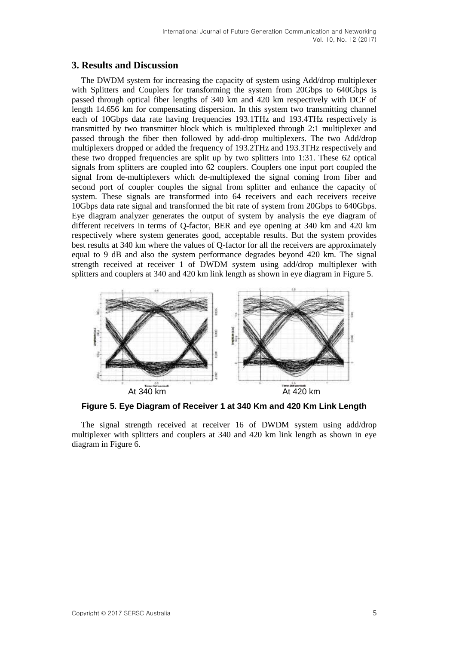### **3. Results and Discussion**

The DWDM system for increasing the capacity of system using Add/drop multiplexer with Splitters and Couplers for transforming the system from 20Gbps to 640Gbps is passed through optical fiber lengths of 340 km and 420 km respectively with DCF of length 14.656 km for compensating dispersion. In this system two transmitting channel each of 10Gbps data rate having frequencies 193.1THz and 193.4THz respectively is transmitted by two transmitter block which is multiplexed through 2:1 multiplexer and passed through the fiber then followed by add-drop multiplexers. The two Add/drop multiplexers dropped or added the frequency of 193.2THz and 193.3THz respectively and these two dropped frequencies are split up by two splitters into 1:31. These 62 optical signals from splitters are coupled into 62 couplers. Couplers one input port coupled the signal from de-multiplexers which de-multiplexed the signal coming from fiber and second port of coupler couples the signal from splitter and enhance the capacity of system. These signals are transformed into 64 receivers and each receivers receive 10Gbps data rate signal and transformed the bit rate of system from 20Gbps to 640Gbps. Eye diagram analyzer generates the output of system by analysis the eye diagram of different receivers in terms of Q-factor, BER and eye opening at 340 km and 420 km respectively where system generates good, acceptable results. But the system provides best results at 340 km where the values of Q-factor for all the receivers are approximately equal to 9 dB and also the system performance degrades beyond 420 km. The signal strength received at receiver 1 of DWDM system using add/drop multiplexer with splitters and couplers at 340 and 420 km link length as shown in eye diagram in Figure 5.



**Figure 5. Eye Diagram of Receiver 1 at 340 Km and 420 Km Link Length**

The signal strength received at receiver 16 of DWDM system using add/drop multiplexer with splitters and couplers at 340 and 420 km link length as shown in eye diagram in Figure 6.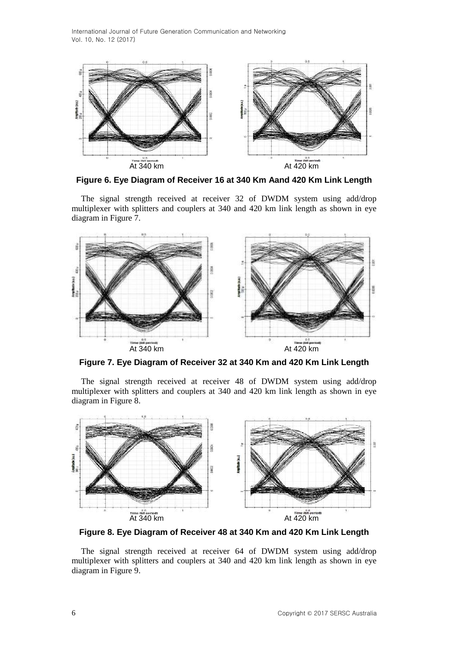

**Figure 6. Eye Diagram of Receiver 16 at 340 Km Aand 420 Km Link Length**

The signal strength received at receiver 32 of DWDM system using add/drop multiplexer with splitters and couplers at 340 and 420 km link length as shown in eye diagram in Figure 7.



**Figure 7. Eye Diagram of Receiver 32 at 340 Km and 420 Km Link Length**

The signal strength received at receiver 48 of DWDM system using add/drop multiplexer with splitters and couplers at 340 and 420 km link length as shown in eye diagram in Figure 8.



**Figure 8. Eye Diagram of Receiver 48 at 340 Km and 420 Km Link Length**

The signal strength received at receiver 64 of DWDM system using add/drop multiplexer with splitters and couplers at 340 and 420 km link length as shown in eye diagram in Figure 9.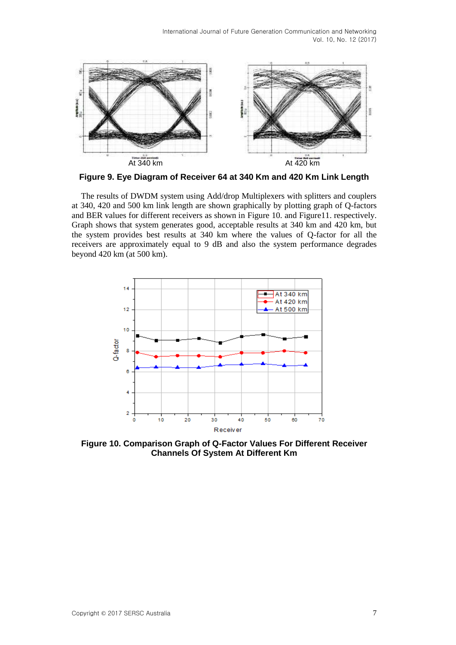

**Figure 9. Eye Diagram of Receiver 64 at 340 Km and 420 Km Link Length**

The results of DWDM system using Add/drop Multiplexers with splitters and couplers at 340, 420 and 500 km link length are shown graphically by plotting graph of Q-factors and BER values for different receivers as shown in Figure 10. and Figure11. respectively. Graph shows that system generates good, acceptable results at 340 km and 420 km, but the system provides best results at 340 km where the values of Q-factor for all the receivers are approximately equal to 9 dB and also the system performance degrades beyond 420 km (at 500 km).



**Figure 10. Comparison Graph of Q-Factor Values For Different Receiver Channels Of System At Different Km**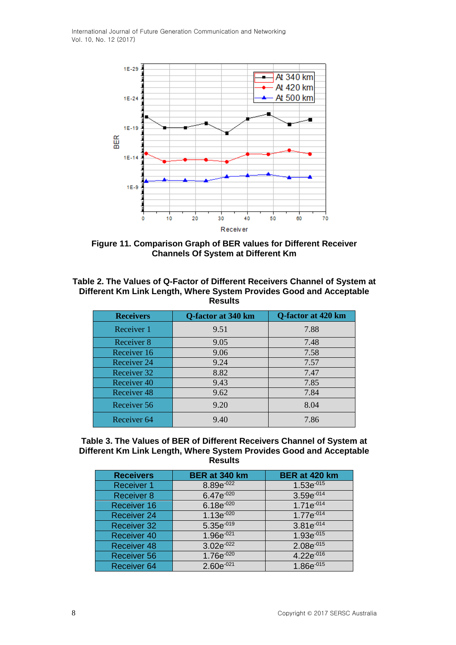

**Figure 11. Comparison Graph of BER values for Different Receiver Channels Of System at Different Km**

**Table 2. The Values of Q-Factor of Different Receivers Channel of System at Different Km Link Length, Where System Provides Good and Acceptable Results**

| <b>Receivers</b> | Q-factor at 340 km | Q-factor at 420 km |
|------------------|--------------------|--------------------|
| Receiver 1       | 9.51               | 7.88               |
| Receiver 8       | 9.05               | 7.48               |
| Receiver 16      | 9.06               | 7.58               |
| Receiver 24      | 9.24               | 7.57               |
| Receiver 32      | 8.82               | 7.47               |
| Receiver 40      | 9.43               | 7.85               |
| Receiver 48      | 9.62               | 7.84               |
| Receiver 56      | 9.20               | 8.04               |
| Receiver 64      | 9.40               | 7.86               |

#### **Table 3. The Values of BER of Different Receivers Channel of System at Different Km Link Length, Where System Provides Good and Acceptable Results**

| <b>Receivers</b>   | BER at 340 km   | BER at 420 km  |
|--------------------|-----------------|----------------|
| <b>Receiver 1</b>  | $8.89e^{-022}$  | $1.53e^{-015}$ |
| <b>Receiver 8</b>  | $6.47e^{-020}$  | $3.59e^{-014}$ |
| Receiver 16        | $6.18e^{-020}$  | $1.71e^{-014}$ |
| <b>Receiver 24</b> | $1.13e^{-020}$  | $1.77e^{-014}$ |
| <b>Receiver 32</b> | $5.35e^{-019}$  | $3.81e^{-014}$ |
| <b>Receiver 40</b> | $1.96e^{-021}$  | $1.93e^{-015}$ |
| <b>Receiver 48</b> | $3.02e^{-0.22}$ | $2.08e^{-015}$ |
| <b>Receiver 56</b> | $1.76e^{-020}$  | $4.22e^{-016}$ |
| Receiver 64        | $2.60e^{-021}$  | $1.86e^{-015}$ |